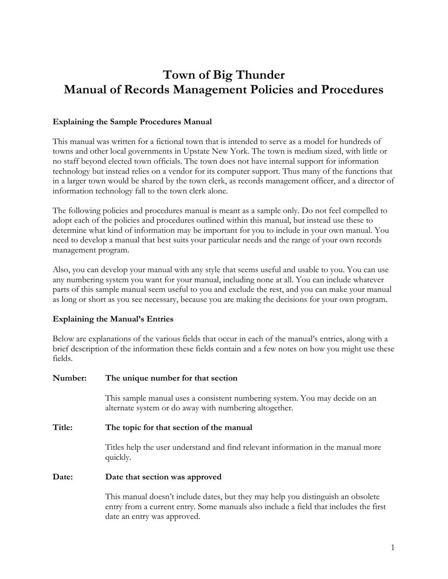# **Town of Big Thunder Manual of Records Management Policies and Procedures**

#### **Explaining the Sample Procedures Manual**

This manual was written for a fictional town that is intended to serve as a model for hundreds of towns and other local governments in Upstate New York. The town is medium sized, with little or no staff beyond elected town officials. The town does not have internal support for information technology but instead relies on a vendor for its computer support. Thus many of the functions that in a larger town would be shared by the town clerk, as records management officer, and a director of information technology fall to the town clerk alone.

The following policies and procedures manual is meant as a sample only. Do not feel compelled to adopt each of the policies and procedures outlined within this manual, but instead use these to determine what kind of information may be important for you to include in your own manual. You need to develop a manual that best suits your particular needs and the range of your own records management program.

Also, you can develop your manual with any style that seems useful and usable to you. You can use any numbering system you want for your manual, including none at all. You can include whatever parts of this sample manual seem useful to you and exclude the rest, and you can make your manual as long or short as you see necessary, because you are making the decisions for your own program.

#### **Explaining the Manual's Entries**

Below are explanations of the various fields that occur in each of the manual's entries, along with a brief description of the information these fields contain and a few notes on how you might use these fields.

#### **Number: The unique number for that section**

This sample manual uses a consistent numbering system. You may decide on an alternate system or do away with numbering altogether.

#### **Title: The topic for that section of the manual**

Titles help the user understand and find relevant information in the manual more quickly.

#### **Date: Date that section was approved**

This manual doesn't include dates, but they may help you distinguish an obsolete entry from a current entry. Some manuals also include a field that includes the first date an entry was approved.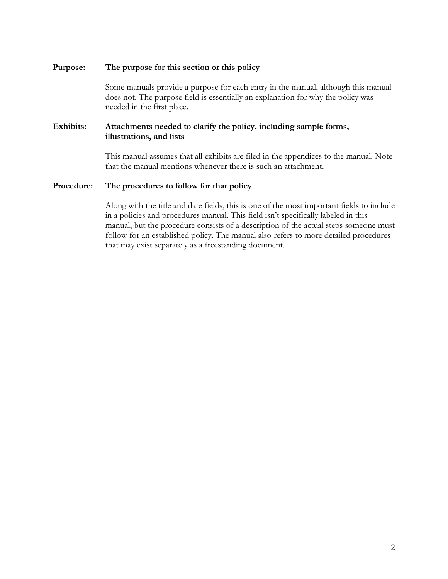#### **Purpose: The purpose for this section or this policy**

Some manuals provide a purpose for each entry in the manual, although this manual does not. The purpose field is essentially an explanation for why the policy was needed in the first place.

#### **Exhibits: Attachments needed to clarify the policy, including sample forms, illustrations, and lists**

This manual assumes that all exhibits are filed in the appendices to the manual. Note that the manual mentions whenever there is such an attachment.

#### **Procedure: The procedures to follow for that policy**

Along with the title and date fields, this is one of the most important fields to include in a policies and procedures manual. This field isn't specifically labeled in this manual, but the procedure consists of a description of the actual steps someone must follow for an established policy. The manual also refers to more detailed procedures that may exist separately as a freestanding document.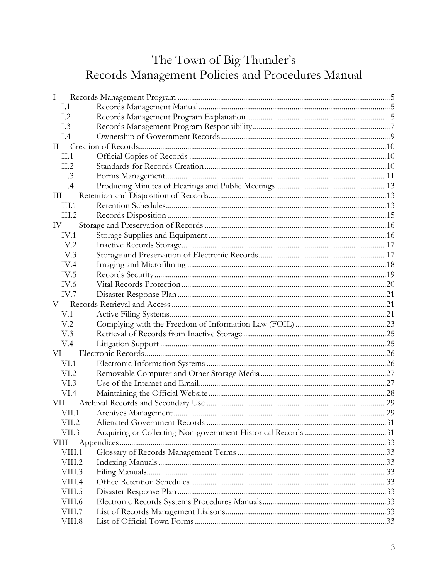# The Town of Big Thunder's<br>Records Management Policies and Procedures Manual

| Ι               |  |
|-----------------|--|
| I.1             |  |
| 1.2             |  |
| L <sub>3</sub>  |  |
| I.4             |  |
| $\rm II$        |  |
| II.1            |  |
| II.2            |  |
| II.3            |  |
| II.4            |  |
| III             |  |
| III.1           |  |
| III.2           |  |
| IV              |  |
| IV.1            |  |
| IV.2            |  |
| IV.3            |  |
| IV.4            |  |
| IV.5            |  |
| IV.6            |  |
| IV.7            |  |
| V –             |  |
| V.1             |  |
| V <sub>12</sub> |  |
| V.3             |  |
| V.4             |  |
| VI              |  |
| VI.1            |  |
| VI.2            |  |
| VI.3            |  |
| VI.4            |  |
| VH.             |  |
| VII.1           |  |
| VII.2           |  |
| VII.3           |  |
| VIII            |  |
| VIII.1          |  |
| VIII.2          |  |
| VIII.3          |  |
| VIII.4          |  |
| VIII.5          |  |
| VIII.6          |  |
| VIII.7          |  |
| VIII.8          |  |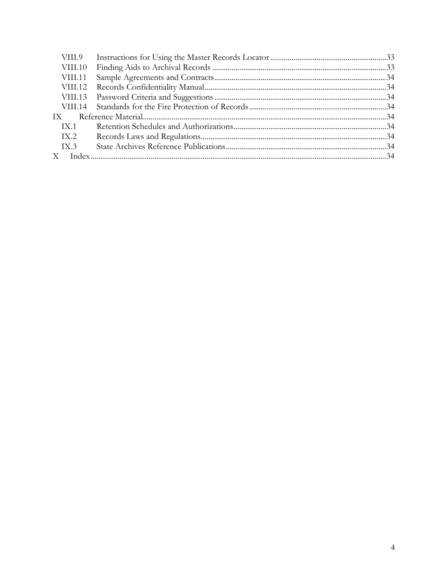| VIII.9  |  |
|---------|--|
| VIII.10 |  |
| VIII.11 |  |
|         |  |
|         |  |
|         |  |
| IX      |  |
| IX.1    |  |
| IX.2    |  |
| IX.3    |  |
|         |  |
|         |  |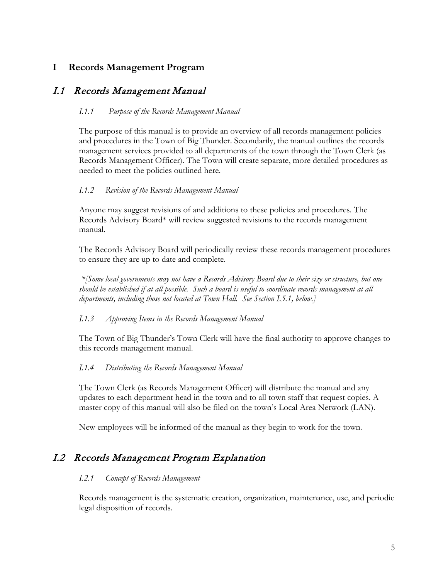## <span id="page-4-0"></span>**I Records Management Program**

## <span id="page-4-1"></span>I.1 Records Management Manual

#### *I.1.1 Purpose of the Records Management Manual*

The purpose of this manual is to provide an overview of all records management policies and procedures in the Town of Big Thunder. Secondarily, the manual outlines the records management services provided to all departments of the town through the Town Clerk (as Records Management Officer). The Town will create separate, more detailed procedures as needed to meet the policies outlined here.

#### *I.1.2 Revision of the Records Management Manual*

Anyone may suggest revisions of and additions to these policies and procedures. The Records Advisory Board\* will review suggested revisions to the records management manual.

The Records Advisory Board will periodically review these records management procedures to ensure they are up to date and complete*.*

*\*[Some local governments may not have a Records Advisory Board due to their size or structure, but one should be established if at all possible. Such a board is useful to coordinate records management at all departments, including those not located at Town Hall. See Section I.5.1, below.]*

#### *I.1.3 Approving Items in the Records Management Manual*

The Town of Big Thunder's Town Clerk will have the final authority to approve changes to this records management manual.

#### *I.1.4 Distributing the Records Management Manual*

The Town Clerk (as Records Management Officer) will distribute the manual and any updates to each department head in the town and to all town staff that request copies. A master copy of this manual will also be filed on the town's Local Area Network (LAN).

New employees will be informed of the manual as they begin to work for the town.

## <span id="page-4-2"></span>I.2 Records Management Program Explanation

#### *I.2.1 Concept of Records Management*

Records management is the systematic creation, organization, maintenance, use, and periodic legal disposition of records.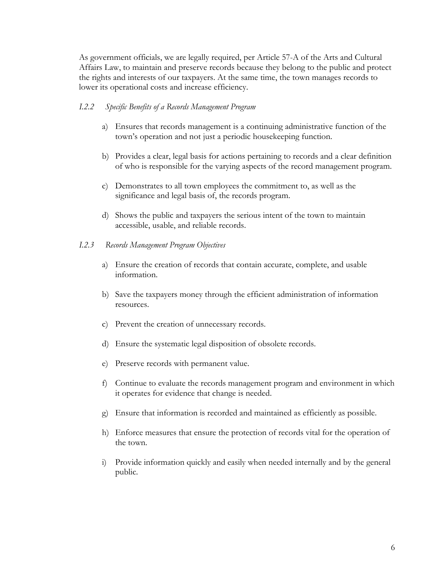As government officials, we are legally required, per Article 57-A of the Arts and Cultural Affairs Law, to maintain and preserve records because they belong to the public and protect the rights and interests of our taxpayers. At the same time, the town manages records to lower its operational costs and increase efficiency.

#### *I.2.2 Specific Benefits of a Records Management Program*

- a) Ensures that records management is a continuing administrative function of the town's operation and not just a periodic housekeeping function.
- b) Provides a clear, legal basis for actions pertaining to records and a clear definition of who is responsible for the varying aspects of the record management program.
- c) Demonstrates to all town employees the commitment to, as well as the significance and legal basis of, the records program.
- d) Shows the public and taxpayers the serious intent of the town to maintain accessible, usable, and reliable records.
- *I.2.3 Records Management Program Objectives*
	- a) Ensure the creation of records that contain accurate, complete, and usable information.
	- b) Save the taxpayers money through the efficient administration of information resources.
	- c) Prevent the creation of unnecessary records.
	- d) Ensure the systematic legal disposition of obsolete records.
	- e) Preserve records with permanent value.
	- f) Continue to evaluate the records management program and environment in which it operates for evidence that change is needed.
	- g) Ensure that information is recorded and maintained as efficiently as possible.
	- h) Enforce measures that ensure the protection of records vital for the operation of the town.
	- i) Provide information quickly and easily when needed internally and by the general public.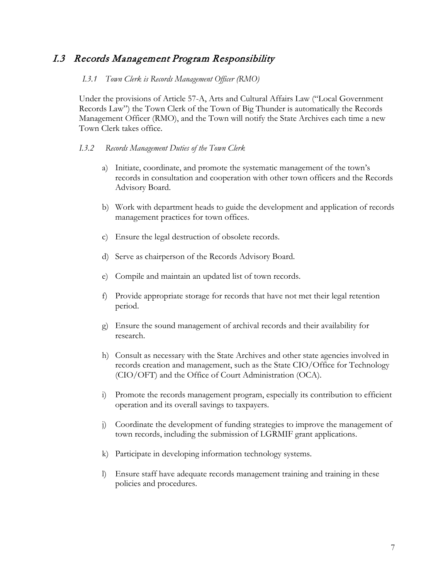## <span id="page-6-0"></span>I.3 Records Management Program Responsibility

#### *I.3.1 Town Clerk is Records Management Officer (RMO)*

Under the provisions of Article 57-A, Arts and Cultural Affairs Law ("Local Government Records Law") the Town Clerk of the Town of Big Thunder is automatically the Records Management Officer (RMO), and the Town will notify the State Archives each time a new Town Clerk takes office.

#### *I.3.2 Records Management Duties of the Town Clerk*

- a) Initiate, coordinate, and promote the systematic management of the town's records in consultation and cooperation with other town officers and the Records Advisory Board.
- b) Work with department heads to guide the development and application of records management practices for town offices.
- c) Ensure the legal destruction of obsolete records.
- d) Serve as chairperson of the Records Advisory Board.
- e) Compile and maintain an updated list of town records.
- f) Provide appropriate storage for records that have not met their legal retention period.
- g) Ensure the sound management of archival records and their availability for research.
- h) Consult as necessary with the State Archives and other state agencies involved in records creation and management, such as the State CIO/Office for Technology (CIO/OFT) and the Office of Court Administration (OCA).
- i) Promote the records management program, especially its contribution to efficient operation and its overall savings to taxpayers.
- j) Coordinate the development of funding strategies to improve the management of town records, including the submission of LGRMIF grant applications.
- k) Participate in developing information technology systems.
- l) Ensure staff have adequate records management training and training in these policies and procedures.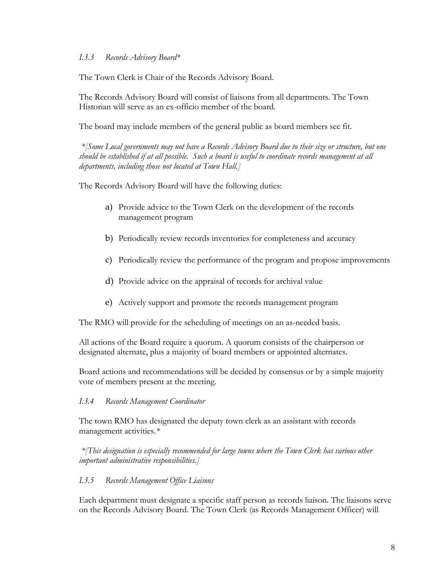#### *I.3.3 Records Advisory Board\**

The Town Clerk is Chair of the Records Advisory Board.

The Records Advisory Board will consist of liaisons from all departments. The Town Historian will serve as an ex-officio member of the board*.* 

The board may include members of the general public as board members see fit.

*\*[Some Local governments may not have a Records Advisory Board due to their size or structure, but one should be established if at all possible. Such a board is useful to coordinate records management at all departments, including those not located at Town Hall.]* 

The Records Advisory Board will have the following duties:

- a) Provide advice to the Town Clerk on the development of the records management program
- b) Periodically review records inventories for completeness and accuracy
- c) Periodically review the performance of the program and propose improvements
- d) Provide advice on the appraisal of records for archival value
- e) Actively support and promote the records management program

The RMO will provide for the scheduling of meetings on an as-needed basis.

All actions of the Board require a quorum. A quorum consists of the chairperson or designated alternate, plus a majority of board members or appointed alternates.

Board actions and recommendations will be decided by consensus or by a simple majority vote of members present at the meeting.

#### *I.3.4 Records Management Coordinator*

The town RMO has designated the deputy town clerk as an assistant with records management activities*.\** 

*\*[This designation is especially recommended for large towns where the Town Clerk has various other important administrative responsibilities.]*

#### *I.3.5 Records Management Office Liaisons*

Each department must designate a specific staff person as records liaison. The liaisons serve on the Records Advisory Board. The Town Clerk (as Records Management Officer) will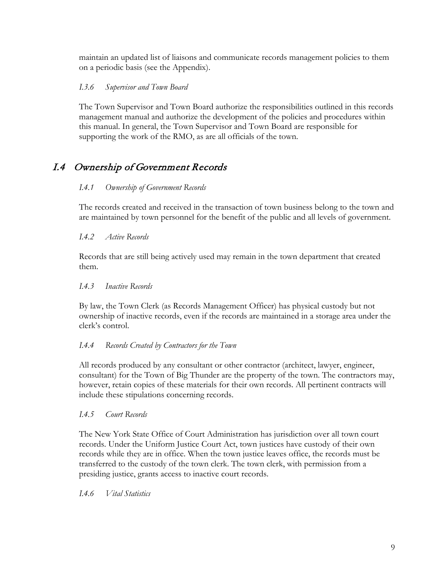maintain an updated list of liaisons and communicate records management policies to them on a periodic basis (see the Appendix).

#### *I.3.6 Supervisor and Town Board*

The Town Supervisor and Town Board authorize the responsibilities outlined in this records management manual and authorize the development of the policies and procedures within this manual. In general, the Town Supervisor and Town Board are responsible for supporting the work of the RMO, as are all officials of the town.

# <span id="page-8-0"></span>I.4 Ownership of Government Records

#### *I.4.1 Ownership of Government Records*

The records created and received in the transaction of town business belong to the town and are maintained by town personnel for the benefit of the public and all levels of government.

#### *I.4.2 Active Records*

Records that are still being actively used may remain in the town department that created them.

#### *I.4.3 Inactive Records*

By law, the Town Clerk (as Records Management Officer) has physical custody but not ownership of inactive records, even if the records are maintained in a storage area under the clerk's control.

#### *I.4.4 Records Created by Contractors for the Town*

All records produced by any consultant or other contractor (architect, lawyer, engineer, consultant) for the Town of Big Thunder are the property of the town. The contractors may, however, retain copies of these materials for their own records. All pertinent contracts will include these stipulations concerning records.

#### *I.4.5 Court Records*

The New York State Office of Court Administration has jurisdiction over all town court records. Under the Uniform Justice Court Act, town justices have custody of their own records while they are in office. When the town justice leaves office, the records must be transferred to the custody of the town clerk. The town clerk, with permission from a presiding justice, grants access to inactive court records.

#### *I.4.6 Vital Statistics*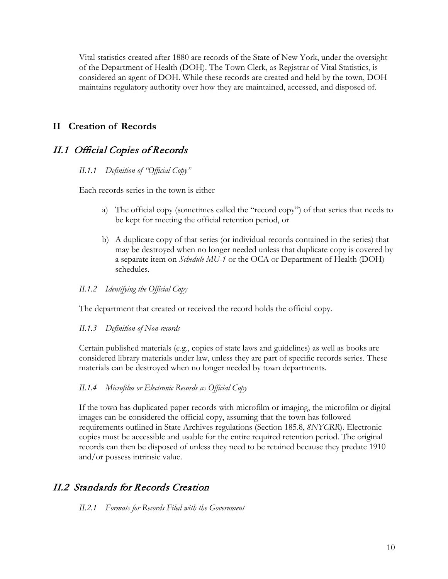Vital statistics created after 1880 are records of the State of New York, under the oversight of the Department of Health (DOH). The Town Clerk, as Registrar of Vital Statistics, is considered an agent of DOH. While these records are created and held by the town, DOH maintains regulatory authority over how they are maintained, accessed, and disposed of.

## <span id="page-9-0"></span>**II Creation of Records**

## <span id="page-9-1"></span>II.1 Official Copies of Records

#### *II.1.1 Definition of "Official Copy"*

Each records series in the town is either

- a) The official copy (sometimes called the "record copy") of that series that needs to be kept for meeting the official retention period, or
- b) A duplicate copy of that series (or individual records contained in the series) that may be destroyed when no longer needed unless that duplicate copy is covered by a separate item on *Schedule MU-1* or the OCA or Department of Health (DOH) schedules.

#### *II.1.2 Identifying the Official Copy*

The department that created or received the record holds the official copy.

#### *II.1.3 Definition of Non-records*

Certain published materials (e.g., copies of state laws and guidelines) as well as books are considered library materials under law, unless they are part of specific records series. These materials can be destroyed when no longer needed by town departments.

#### *II.1.4 Microfilm or Electronic Records as Official Copy*

If the town has duplicated paper records with microfilm or imaging, the microfilm or digital images can be considered the official copy, assuming that the town has followed requirements outlined in State Archives regulations (Section 185.8, *8NYCRR*). Electronic copies must be accessible and usable for the entire required retention period. The original records can then be disposed of unless they need to be retained because they predate 1910 and/or possess intrinsic value.

## <span id="page-9-2"></span>II.2 Standards for Records Creation

*II.2.1 Formats for Records Filed with the Government*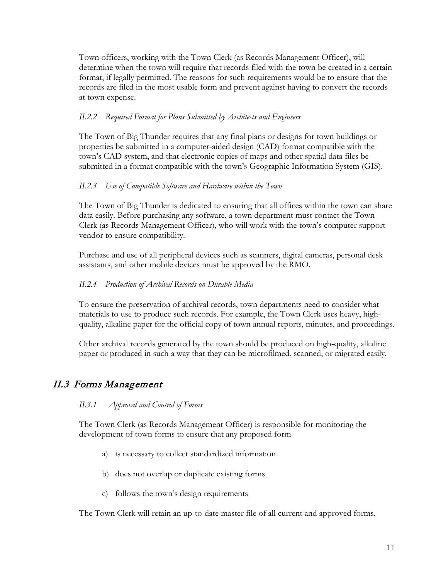Town officers, working with the Town Clerk (as Records Management Officer), will determine when the town will require that records filed with the town be created in a certain format, if legally permitted. The reasons for such requirements would be to ensure that the records are filed in the most usable form and prevent against having to convert the records at town expense.

#### *II.2.2 Required Format for Plans Submitted by Architects and Engineers*

The Town of Big Thunder requires that any final plans or designs for town buildings or properties be submitted in a computer-aided design (CAD) format compatible with the town's CAD system, and that electronic copies of maps and other spatial data files be submitted in a format compatible with the town's Geographic Information System (GIS).

## *II.2.3 Use of Compatible Software and Hardware within the Town*

The Town of Big Thunder is dedicated to ensuring that all offices within the town can share data easily. Before purchasing any software, a town department must contact the Town Clerk (as Records Management Officer), who will work with the town's computer support vendor to ensure compatibility.

Purchase and use of all peripheral devices such as scanners, digital cameras, personal desk assistants, and other mobile devices must be approved by the RMO.

#### *II.2.4 Production of Archival Records on Durable Media*

To ensure the preservation of archival records, town departments need to consider what materials to use to produce such records. For example, the Town Clerk uses heavy, highquality, alkaline paper for the official copy of town annual reports, minutes, and proceedings.

Other archival records generated by the town should be produced on high-quality, alkaline paper or produced in such a way that they can be microfilmed, scanned, or migrated easily.

## <span id="page-10-0"></span>II.3 Forms Management

#### *II.3.1 Approval and Control of Forms*

The Town Clerk (as Records Management Officer) is responsible for monitoring the development of town forms to ensure that any proposed form

- a) is necessary to collect standardized information
- b) does not overlap or duplicate existing forms
- c) follows the town's design requirements

The Town Clerk will retain an up-to-date master file of all current and approved forms.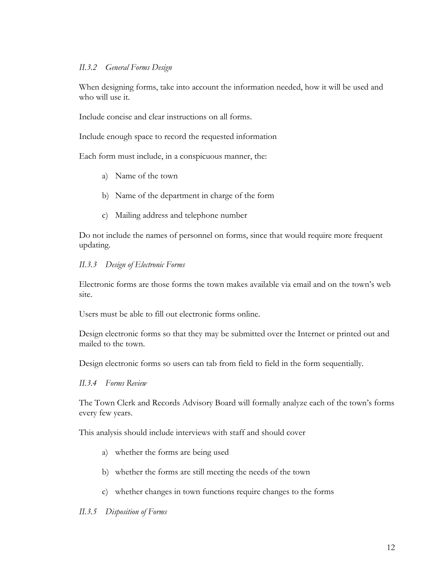#### *II.3.2 General Forms Design*

When designing forms, take into account the information needed, how it will be used and who will use it.

Include concise and clear instructions on all forms.

Include enough space to record the requested information

Each form must include, in a conspicuous manner, the:

- a) Name of the town
- b) Name of the department in charge of the form
- c) Mailing address and telephone number

Do not include the names of personnel on forms, since that would require more frequent updating.

#### *II.3.3 Design of Electronic Forms*

Electronic forms are those forms the town makes available via email and on the town's web site.

Users must be able to fill out electronic forms online.

Design electronic forms so that they may be submitted over the Internet or printed out and mailed to the town.

Design electronic forms so users can tab from field to field in the form sequentially.

#### *II.3.4 Forms Review*

The Town Clerk and Records Advisory Board will formally analyze each of the town's forms every few years.

This analysis should include interviews with staff and should cover

- a) whether the forms are being used
- b) whether the forms are still meeting the needs of the town
- c) whether changes in town functions require changes to the forms

#### *II.3.5 Disposition of Forms*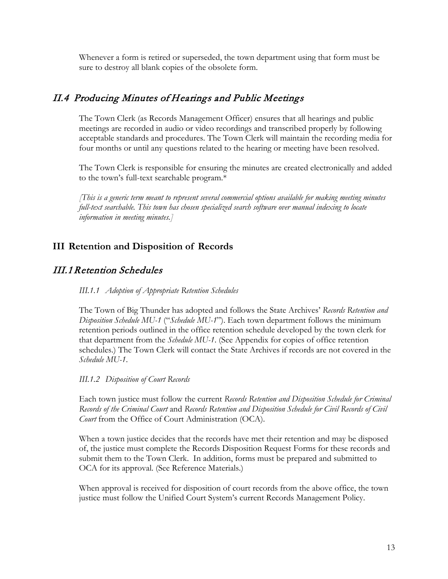Whenever a form is retired or superseded, the town department using that form must be sure to destroy all blank copies of the obsolete form.

## <span id="page-12-0"></span>II.4 Producing Minutes of Hearings and Public Meetings

The Town Clerk (as Records Management Officer) ensures that all hearings and public meetings are recorded in audio or video recordings and transcribed properly by following acceptable standards and procedures. The Town Clerk will maintain the recording media for four months or until any questions related to the hearing or meeting have been resolved.

The Town Clerk is responsible for ensuring the minutes are created electronically and added to the town's full-text searchable program.\*

*[This is a generic term meant to represent several commercial options available for making meeting minutes full-text searchable. This town has chosen specialized search software over manual indexing to locate information in meeting minutes.]* 

## <span id="page-12-1"></span>**III Retention and Disposition of Records**

## <span id="page-12-2"></span>III.1Retention Schedules

#### *III.1.1 Adoption of Appropriate Retention Schedules*

The Town of Big Thunder has adopted and follows the State Archives' *Records Retention and Disposition Schedule MU-1* ("*Schedule MU-1*"). Each town department follows the minimum retention periods outlined in the office retention schedule developed by the town clerk for that department from the *Schedule MU-1*. (See Appendix for copies of office retention schedules.) The Town Clerk will contact the State Archives if records are not covered in the *Schedule MU-1*.

#### *III.1.2 Disposition of Court Records*

Each town justice must follow the current *Records Retention and Disposition Schedule for Criminal Records of the Criminal Court* and *Records Retention and Disposition Schedule for Civil Records of Civil Court* from the Office of Court Administration (OCA).

When a town justice decides that the records have met their retention and may be disposed of, the justice must complete the Records Disposition Request Forms for these records and submit them to the Town Clerk. In addition, forms must be prepared and submitted to OCA for its approval. (See Reference Materials.)

When approval is received for disposition of court records from the above office, the town justice must follow the Unified Court System's current Records Management Policy.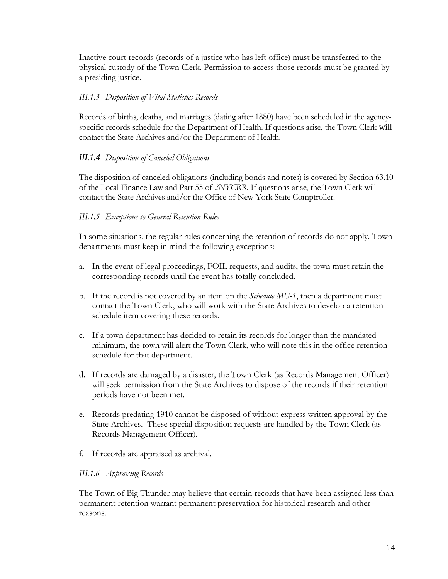Inactive court records (records of a justice who has left office) must be transferred to the physical custody of the Town Clerk. Permission to access those records must be granted by a presiding justice.

#### *III.1.3 Disposition of Vital Statistics Records*

Records of births, deaths, and marriages (dating after 1880) have been scheduled in the agencyspecific records schedule for the Department of Health. If questions arise, the Town Clerk will contact the State Archives and/or the Department of Health.

#### *III.1.4 Disposition of Canceled Obligations*

The disposition of canceled obligations (including bonds and notes) is covered by Section 63.10 of the Local Finance Law and Part 55 of *2NYCRR*. If questions arise, the Town Clerk will contact the State Archives and/or the Office of New York State Comptroller.

#### *III.1.5 Exceptions to General Retention Rules*

In some situations, the regular rules concerning the retention of records do not apply. Town departments must keep in mind the following exceptions:

- a. In the event of legal proceedings, FOIL requests, and audits, the town must retain the corresponding records until the event has totally concluded.
- b. If the record is not covered by an item on the *Schedule MU-1*, then a department must contact the Town Clerk, who will work with the State Archives to develop a retention schedule item covering these records.
- c. If a town department has decided to retain its records for longer than the mandated minimum, the town will alert the Town Clerk, who will note this in the office retention schedule for that department.
- d. If records are damaged by a disaster, the Town Clerk (as Records Management Officer) will seek permission from the State Archives to dispose of the records if their retention periods have not been met.
- e. Records predating 1910 cannot be disposed of without express written approval by the State Archives. These special disposition requests are handled by the Town Clerk (as Records Management Officer).
- f. If records are appraised as archival.

#### *III.1.6 Appraising Records*

The Town of Big Thunder may believe that certain records that have been assigned less than permanent retention warrant permanent preservation for historical research and other reasons.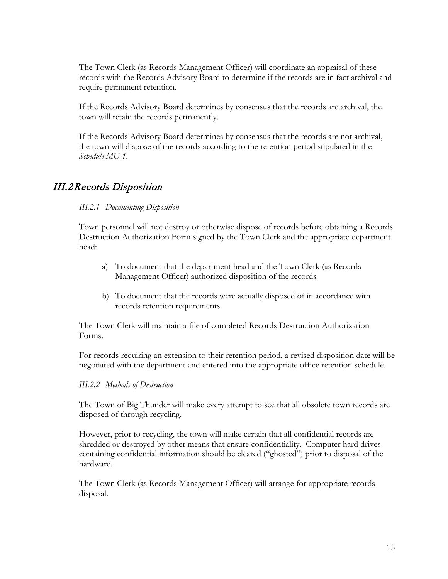The Town Clerk (as Records Management Officer) will coordinate an appraisal of these records with the Records Advisory Board to determine if the records are in fact archival and require permanent retention.

If the Records Advisory Board determines by consensus that the records are archival, the town will retain the records permanently.

If the Records Advisory Board determines by consensus that the records are not archival, the town will dispose of the records according to the retention period stipulated in the *Schedule MU-1*.

## <span id="page-14-0"></span>III.2Records Disposition

#### *III.2.1 Documenting Disposition*

Town personnel will not destroy or otherwise dispose of records before obtaining a Records Destruction Authorization Form signed by the Town Clerk and the appropriate department head:

- a) To document that the department head and the Town Clerk (as Records Management Officer) authorized disposition of the records
- b) To document that the records were actually disposed of in accordance with records retention requirements

The Town Clerk will maintain a file of completed Records Destruction Authorization Forms.

For records requiring an extension to their retention period, a revised disposition date will be negotiated with the department and entered into the appropriate office retention schedule.

#### *III.2.2 Methods of Destruction*

The Town of Big Thunder will make every attempt to see that all obsolete town records are disposed of through recycling.

However, prior to recycling, the town will make certain that all confidential records are shredded or destroyed by other means that ensure confidentiality. Computer hard drives containing confidential information should be cleared ("ghosted") prior to disposal of the hardware.

The Town Clerk (as Records Management Officer) will arrange for appropriate records disposal.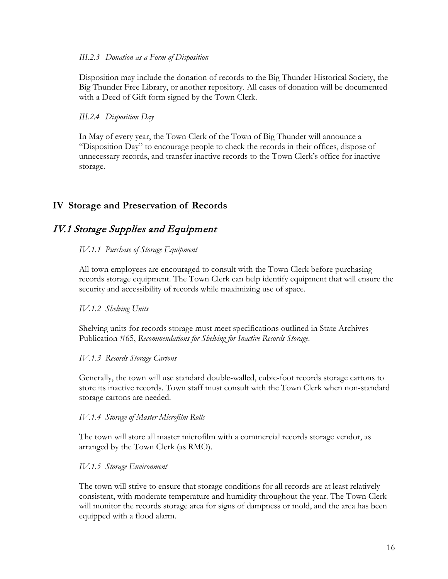#### *III.2.3 Donation as a Form of Disposition*

Disposition may include the donation of records to the Big Thunder Historical Society, the Big Thunder Free Library, or another repository. All cases of donation will be documented with a Deed of Gift form signed by the Town Clerk.

#### *III.2.4 Disposition Day*

In May of every year, the Town Clerk of the Town of Big Thunder will announce a "Disposition Day" to encourage people to check the records in their offices, dispose of unnecessary records, and transfer inactive records to the Town Clerk's office for inactive storage.

## <span id="page-15-0"></span>**IV Storage and Preservation of Records**

## <span id="page-15-1"></span>IV.1 Storage Supplies and Equipment

#### *IV.1.1 Purchase of Storage Equipment*

All town employees are encouraged to consult with the Town Clerk before purchasing records storage equipment. The Town Clerk can help identify equipment that will ensure the security and accessibility of records while maximizing use of space.

#### *IV.1.2 Shelving Units*

Shelving units for records storage must meet specifications outlined in State Archives Publication #65, *Recommendations for Shelving for Inactive Records Storage*.

#### *IV.1.3 Records Storage Cartons*

Generally, the town will use standard double-walled, cubic-foot records storage cartons to store its inactive records. Town staff must consult with the Town Clerk when non-standard storage cartons are needed.

#### *IV.1.4 Storage of Master Microfilm Rolls*

The town will store all master microfilm with a commercial records storage vendor, as arranged by the Town Clerk (as RMO).

#### *IV.1.5 Storage Environment*

The town will strive to ensure that storage conditions for all records are at least relatively consistent, with moderate temperature and humidity throughout the year. The Town Clerk will monitor the records storage area for signs of dampness or mold, and the area has been equipped with a flood alarm.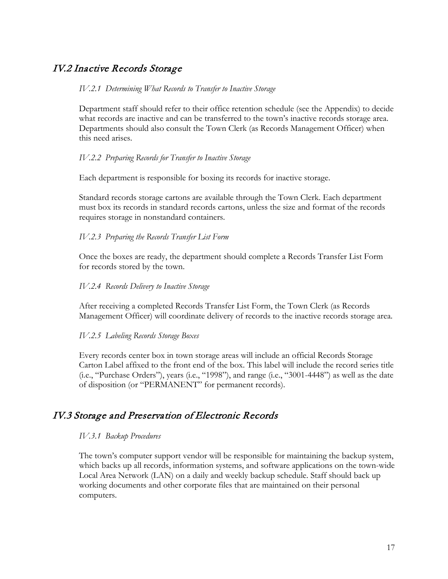## <span id="page-16-0"></span>IV.2 Inactive Records Storage

#### *IV.2.1 Determining What Records to Transfer to Inactive Storage*

Department staff should refer to their office retention schedule (see the Appendix) to decide what records are inactive and can be transferred to the town's inactive records storage area. Departments should also consult the Town Clerk (as Records Management Officer) when this need arises.

#### *IV.2.2 Preparing Records for Transfer to Inactive Storage*

Each department is responsible for boxing its records for inactive storage.

Standard records storage cartons are available through the Town Clerk. Each department must box its records in standard records cartons, unless the size and format of the records requires storage in nonstandard containers.

#### *IV.2.3 Preparing the Records Transfer List Form*

Once the boxes are ready, the department should complete a Records Transfer List Form for records stored by the town.

#### *IV.2.4 Records Delivery to Inactive Storage*

After receiving a completed Records Transfer List Form, the Town Clerk (as Records Management Officer) will coordinate delivery of records to the inactive records storage area.

#### *IV.2.5 Labeling Records Storage Boxes*

Every records center box in town storage areas will include an official Records Storage Carton Label affixed to the front end of the box. This label will include the record series title (i.e., "Purchase Orders"), years (i.e., "1998"), and range (i.e., "3001-4448") as well as the date of disposition (or "PERMANENT" for permanent records).

## <span id="page-16-1"></span>IV.3 Storage and Preservation of Electronic Records

#### *IV.3.1 Backup Procedures*

The town's computer support vendor will be responsible for maintaining the backup system, which backs up all records, information systems, and software applications on the town-wide Local Area Network (LAN) on a daily and weekly backup schedule. Staff should back up working documents and other corporate files that are maintained on their personal computers.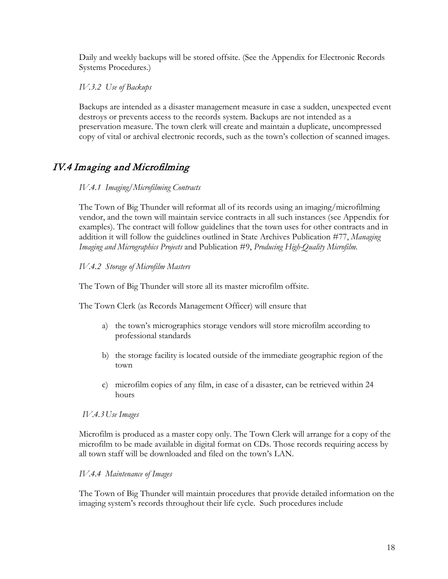Daily and weekly backups will be stored offsite. (See the Appendix for Electronic Records Systems Procedures.)

*IV.3.2 Use of Backups*

Backups are intended as a disaster management measure in case a sudden, unexpected event destroys or prevents access to the records system. Backups are not intended as a preservation measure. The town clerk will create and maintain a duplicate, uncompressed copy of vital or archival electronic records, such as the town's collection of scanned images.

# <span id="page-17-0"></span>IV.4 Imaging and Microfilming

#### *IV.4.1 Imaging/Microfilming Contracts*

The Town of Big Thunder will reformat all of its records using an imaging/microfilming vendor, and the town will maintain service contracts in all such instances (see Appendix for examples). The contract will follow guidelines that the town uses for other contracts and in addition it will follow the guidelines outlined in State Archives Publication #77, *Managing Imaging and Micrographics Projects* and Publication #9, *Producing High-Quality Microfilm.*

#### *IV.4.2 Storage of Microfilm Masters*

The Town of Big Thunder will store all its master microfilm offsite.

The Town Clerk (as Records Management Officer) will ensure that

- a) the town's micrographics storage vendors will store microfilm according to professional standards
- b) the storage facility is located outside of the immediate geographic region of the town
- c) microfilm copies of any film, in case of a disaster, can be retrieved within 24 hours

#### *IV.4.3Use Images*

Microfilm is produced as a master copy only. The Town Clerk will arrange for a copy of the microfilm to be made available in digital format on CDs. Those records requiring access by all town staff will be downloaded and filed on the town's LAN.

#### *IV.4.4 Maintenance of Images*

The Town of Big Thunder will maintain procedures that provide detailed information on the imaging system's records throughout their life cycle. Such procedures include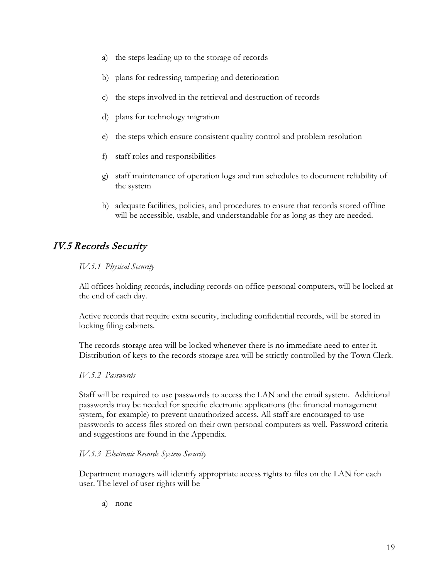- a) the steps leading up to the storage of records
- b) plans for redressing tampering and deterioration
- c) the steps involved in the retrieval and destruction of records
- d) plans for technology migration
- e) the steps which ensure consistent quality control and problem resolution
- f) staff roles and responsibilities
- g) staff maintenance of operation logs and run schedules to document reliability of the system
- h) adequate facilities, policies, and procedures to ensure that records stored offline will be accessible, usable, and understandable for as long as they are needed.

## <span id="page-18-0"></span>IV.5 Records Security

#### *IV.5.1 Physical Security*

All offices holding records, including records on office personal computers, will be locked at the end of each day.

Active records that require extra security, including confidential records, will be stored in locking filing cabinets.

The records storage area will be locked whenever there is no immediate need to enter it. Distribution of keys to the records storage area will be strictly controlled by the Town Clerk.

#### *IV.5.2 Passwords*

Staff will be required to use passwords to access the LAN and the email system. Additional passwords may be needed for specific electronic applications (the financial management system, for example) to prevent unauthorized access. All staff are encouraged to use passwords to access files stored on their own personal computers as well. Password criteria and suggestions are found in the Appendix.

#### *IV.5.3 Electronic Records System Security*

Department managers will identify appropriate access rights to files on the LAN for each user. The level of user rights will be

a) none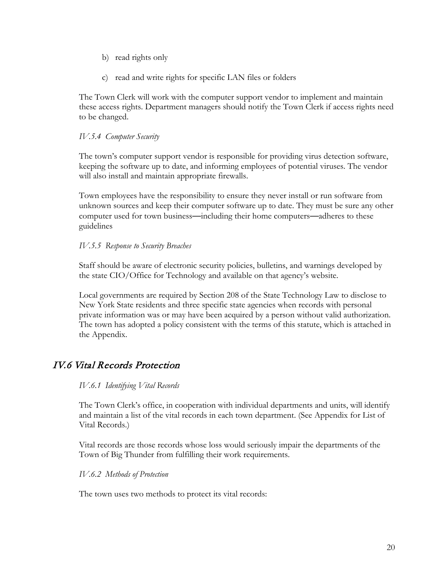- b) read rights only
- c) read and write rights for specific LAN files or folders

The Town Clerk will work with the computer support vendor to implement and maintain these access rights. Department managers should notify the Town Clerk if access rights need to be changed.

#### *IV.5.4 Computer Security*

The town's computer support vendor is responsible for providing virus detection software, keeping the software up to date, and informing employees of potential viruses. The vendor will also install and maintain appropriate firewalls.

Town employees have the responsibility to ensure they never install or run software from unknown sources and keep their computer software up to date. They must be sure any other computer used for town business—including their home computers—adheres to these guidelines

#### *IV.5.5 Response to Security Breaches*

Staff should be aware of electronic security policies, bulletins, and warnings developed by the state CIO/Office for Technology and available on that agency's website.

Local governments are required by Section 208 of the State Technology Law to disclose to New York State residents and three specific state agencies when records with personal private information was or may have been acquired by a person without valid authorization. The town has adopted a policy consistent with the terms of this statute, which is attached in the Appendix.

## <span id="page-19-0"></span>IV.6 Vital Records Protection

#### *IV.6.1 Identifying Vital Records*

The Town Clerk's office, in cooperation with individual departments and units, will identify and maintain a list of the vital records in each town department. (See Appendix for List of Vital Records.)

Vital records are those records whose loss would seriously impair the departments of the Town of Big Thunder from fulfilling their work requirements.

#### *IV.6.2 Methods of Protection*

The town uses two methods to protect its vital records: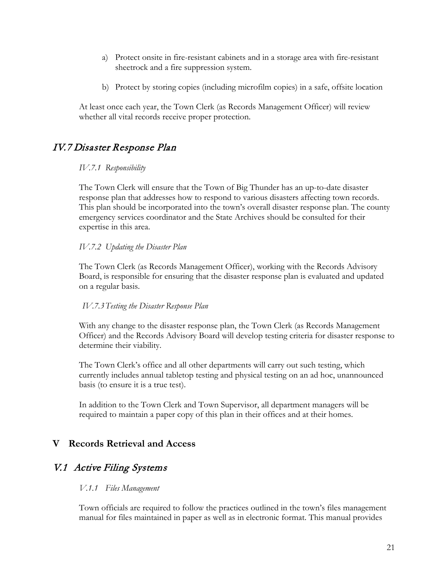- a) Protect onsite in fire-resistant cabinets and in a storage area with fire-resistant sheetrock and a fire suppression system.
- b) Protect by storing copies (including microfilm copies) in a safe, offsite location

At least once each year, the Town Clerk (as Records Management Officer) will review whether all vital records receive proper protection.

## <span id="page-20-0"></span>IV.7 Disaster Response Plan

#### *IV.7.1 Responsibility*

The Town Clerk will ensure that the Town of Big Thunder has an up-to-date disaster response plan that addresses how to respond to various disasters affecting town records. This plan should be incorporated into the town's overall disaster response plan. The county emergency services coordinator and the State Archives should be consulted for their expertise in this area.

#### *IV.7.2 Updating the Disaster Plan*

The Town Clerk (as Records Management Officer), working with the Records Advisory Board, is responsible for ensuring that the disaster response plan is evaluated and updated on a regular basis.

#### *IV.7.3Testing the Disaster Response Plan*

With any change to the disaster response plan, the Town Clerk (as Records Management Officer) and the Records Advisory Board will develop testing criteria for disaster response to determine their viability.

The Town Clerk's office and all other departments will carry out such testing, which currently includes annual tabletop testing and physical testing on an ad hoc, unannounced basis (to ensure it is a true test).

In addition to the Town Clerk and Town Supervisor, all department managers will be required to maintain a paper copy of this plan in their offices and at their homes.

## <span id="page-20-1"></span>**V Records Retrieval and Access**

## <span id="page-20-2"></span>V.1 Active Filing Systems

#### *V.1.1 Files Management*

Town officials are required to follow the practices outlined in the town's files management manual for files maintained in paper as well as in electronic format. This manual provides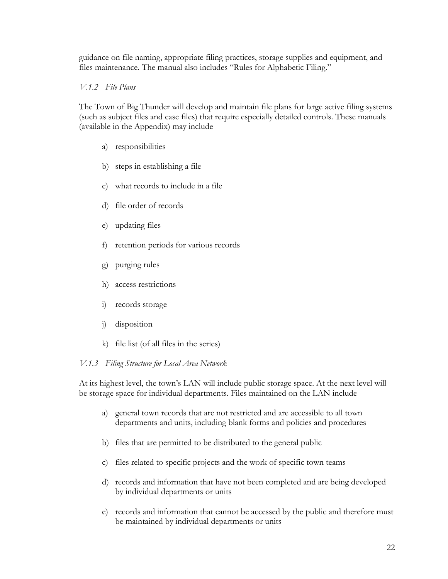guidance on file naming, appropriate filing practices, storage supplies and equipment, and files maintenance. The manual also includes "Rules for Alphabetic Filing."

#### *V.1.2 File Plans*

The Town of Big Thunder will develop and maintain file plans for large active filing systems (such as subject files and case files) that require especially detailed controls. These manuals (available in the Appendix) may include

- a) responsibilities
- b) steps in establishing a file
- c) what records to include in a file
- d) file order of records
- e) updating files
- f) retention periods for various records
- g) purging rules
- h) access restrictions
- i) records storage
- j) disposition
- k) file list (of all files in the series)

#### *V.1.3 Filing Structure for Local Area Network*

At its highest level, the town's LAN will include public storage space. At the next level will be storage space for individual departments. Files maintained on the LAN include

- a) general town records that are not restricted and are accessible to all town departments and units, including blank forms and policies and procedures
- b) files that are permitted to be distributed to the general public
- c) files related to specific projects and the work of specific town teams
- d) records and information that have not been completed and are being developed by individual departments or units
- e) records and information that cannot be accessed by the public and therefore must be maintained by individual departments or units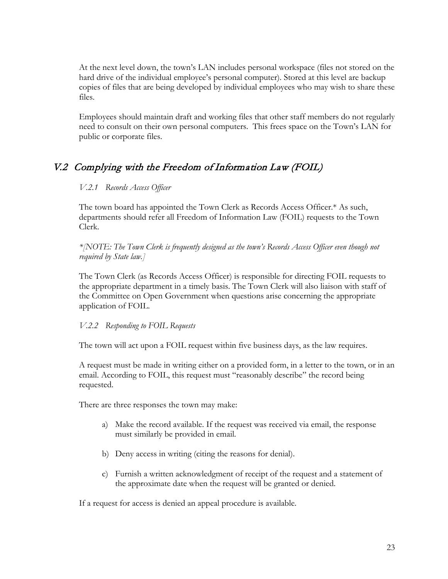At the next level down, the town's LAN includes personal workspace (files not stored on the hard drive of the individual employee's personal computer). Stored at this level are backup copies of files that are being developed by individual employees who may wish to share these files.

Employees should maintain draft and working files that other staff members do not regularly need to consult on their own personal computers. This frees space on the Town's LAN for public or corporate files.

## <span id="page-22-0"></span>V.2 Complying with the Freedom of Information Law (FOIL)

## *V.2.1 Records Access Officer*

The town board has appointed the Town Clerk as Records Access Officer.\* As such, departments should refer all Freedom of Information Law (FOIL) requests to the Town Clerk.

*\*[NOTE: The Town Clerk is frequently designed as the town's Records Access Officer even though not required by State law.]*

The Town Clerk (as Records Access Officer) is responsible for directing FOIL requests to the appropriate department in a timely basis. The Town Clerk will also liaison with staff of the Committee on Open Government when questions arise concerning the appropriate application of FOIL.

#### *V.2.2 Responding to FOIL Requests*

The town will act upon a FOIL request within five business days, as the law requires.

A request must be made in writing either on a provided form, in a letter to the town, or in an email. According to FOIL, this request must "reasonably describe" the record being requested.

There are three responses the town may make:

- a) Make the record available. If the request was received via email, the response must similarly be provided in email.
- b) Deny access in writing (citing the reasons for denial).
- c) Furnish a written acknowledgment of receipt of the request and a statement of the approximate date when the request will be granted or denied.

If a request for access is denied an appeal procedure is available.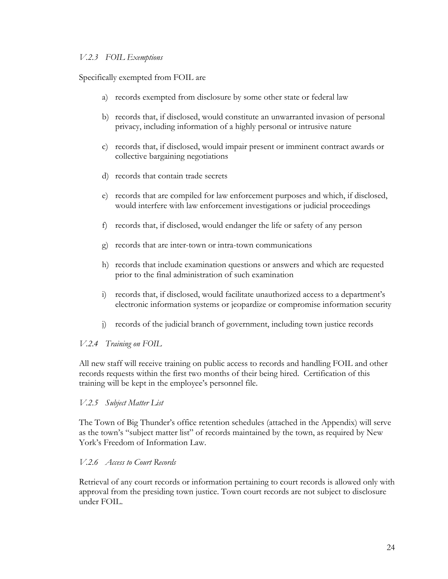#### *V.2.3 FOIL Exemptions*

Specifically exempted from FOIL are

- a) records exempted from disclosure by some other state or federal law
- b) records that, if disclosed, would constitute an unwarranted invasion of personal privacy, including information of a highly personal or intrusive nature
- c) records that, if disclosed, would impair present or imminent contract awards or collective bargaining negotiations
- d) records that contain trade secrets
- e) records that are compiled for law enforcement purposes and which, if disclosed, would interfere with law enforcement investigations or judicial proceedings
- f) records that, if disclosed, would endanger the life or safety of any person
- g) records that are inter-town or intra-town communications
- h) records that include examination questions or answers and which are requested prior to the final administration of such examination
- i) records that, if disclosed, would facilitate unauthorized access to a department's electronic information systems or jeopardize or compromise information security
- j) records of the judicial branch of government, including town justice records

#### *V.2.4 Training on FOIL*

All new staff will receive training on public access to records and handling FOIL and other records requests within the first two months of their being hired. Certification of this training will be kept in the employee's personnel file.

#### *V.2.5 Subject Matter List*

The Town of Big Thunder's office retention schedules (attached in the Appendix) will serve as the town's "subject matter list" of records maintained by the town, as required by New York's Freedom of Information Law.

#### *V.2.6 Access to Court Records*

Retrieval of any court records or information pertaining to court records is allowed only with approval from the presiding town justice. Town court records are not subject to disclosure under FOIL.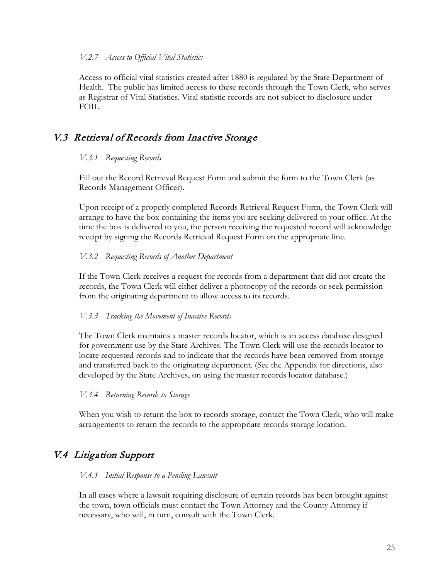#### *V.2.7 Access to Official Vital Statistics*

Access to official vital statistics created after 1880 is regulated by the State Department of Health. The public has limited access to these records through the Town Clerk, who serves as Registrar of Vital Statistics. Vital statistic records are not subject to disclosure under FOIL.

# <span id="page-24-0"></span>V.3 Retrieval of Records from Inactive Storage

#### *V.3.1 Requesting Records*

Fill out the Record Retrieval Request Form and submit the form to the Town Clerk (as Records Management Officer).

Upon receipt of a properly completed Records Retrieval Request Form, the Town Clerk will arrange to have the box containing the items you are seeking delivered to your office. At the time the box is delivered to you, the person receiving the requested record will acknowledge receipt by signing the Records Retrieval Request Form on the appropriate line.

#### *V.3.2 Requesting Records of Another Department*

If the Town Clerk receives a request for records from a department that did not create the records, the Town Clerk will either deliver a photocopy of the records or seek permission from the originating department to allow access to its records.

#### *V.3.3 Tracking the Movement of Inactive Records*

The Town Clerk maintains a master records locator, which is an access database designed for government use by the State Archives. The Town Clerk will use the records locator to locate requested records and to indicate that the records have been removed from storage and transferred back to the originating department. (See the Appendix for directions, also developed by the State Archives, on using the master records locator database.)

#### *V.3.4 Returning Records to Storage*

When you wish to return the box to records storage, contact the Town Clerk, who will make arrangements to return the records to the appropriate records storage location.

# <span id="page-24-1"></span>V.4 Litigation Support

#### *V.4.1 Initial Response to a Pending Lawsuit*

In all cases where a lawsuit requiring disclosure of certain records has been brought against the town, town officials must contact the Town Attorney and the County Attorney if necessary, who will, in turn, consult with the Town Clerk.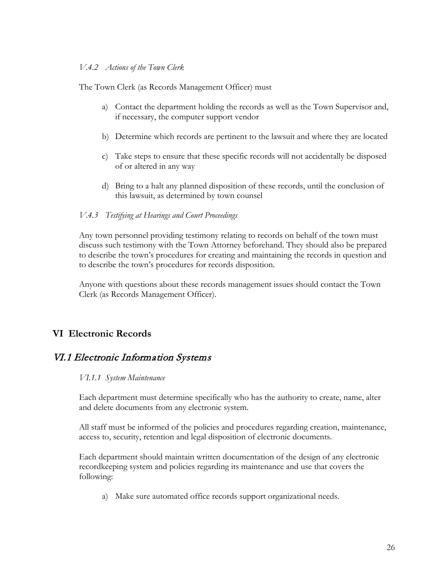#### *V.4.2 Actions of the Town Clerk*

The Town Clerk (as Records Management Officer) must

- a) Contact the department holding the records as well as the Town Supervisor and, if necessary, the computer support vendor
- b) Determine which records are pertinent to the lawsuit and where they are located
- c) Take steps to ensure that these specific records will not accidentally be disposed of or altered in any way
- d) Bring to a halt any planned disposition of these records, until the conclusion of this lawsuit, as determined by town counsel

#### *V.4.3 Testifying at Hearings and Court Proceedings*

Any town personnel providing testimony relating to records on behalf of the town must discuss such testimony with the Town Attorney beforehand. They should also be prepared to describe the town's procedures for creating and maintaining the records in question and to describe the town's procedures for records disposition.

Anyone with questions about these records management issues should contact the Town Clerk (as Records Management Officer).

## <span id="page-25-0"></span>**VI Electronic Records**

## <span id="page-25-1"></span>VI.1 Electronic Information Systems

#### *VI.1.1 System Maintenance*

Each department must determine specifically who has the authority to create, name, alter and delete documents from any electronic system.

All staff must be informed of the policies and procedures regarding creation, maintenance, access to, security, retention and legal disposition of electronic documents.

Each department should maintain written documentation of the design of any electronic recordkeeping system and policies regarding its maintenance and use that covers the following:

a) Make sure automated office records support organizational needs.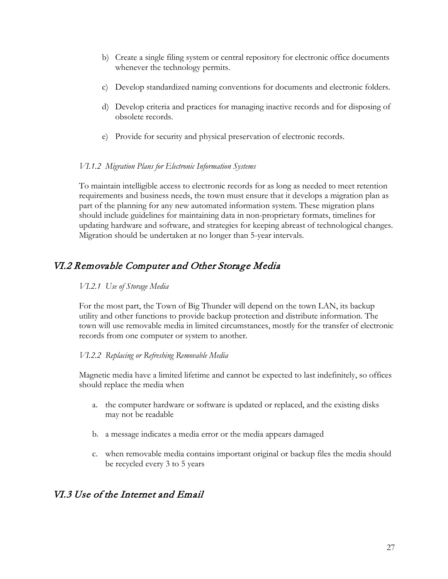- b) Create a single filing system or central repository for electronic office documents whenever the technology permits.
- c) Develop standardized naming conventions for documents and electronic folders.
- d) Develop criteria and practices for managing inactive records and for disposing of obsolete records.
- e) Provide for security and physical preservation of electronic records.

#### *VI.1.2 Migration Plans for Electronic Information Systems*

To maintain intelligible access to electronic records for as long as needed to meet retention requirements and business needs, the town must ensure that it develops a migration plan as part of the planning for any new automated information system. These migration plans should include guidelines for maintaining data in non-proprietary formats, timelines for updating hardware and software, and strategies for keeping abreast of technological changes. Migration should be undertaken at no longer than 5-year intervals.

## <span id="page-26-0"></span>VI.2 Removable Computer and Other Storage Media

#### *VI.2.1 Use of Storage Media*

For the most part, the Town of Big Thunder will depend on the town LAN, its backup utility and other functions to provide backup protection and distribute information. The town will use removable media in limited circumstances, mostly for the transfer of electronic records from one computer or system to another.

#### *VI.2.2 Replacing or Refreshing Removable Media*

Magnetic media have a limited lifetime and cannot be expected to last indefinitely, so offices should replace the media when

- a. the computer hardware or software is updated or replaced, and the existing disks may not be readable
- b. a message indicates a media error or the media appears damaged
- c. when removable media contains important original or backup files the media should be recycled every 3 to 5 years

## <span id="page-26-1"></span>VI.3 Use of the Internet and Email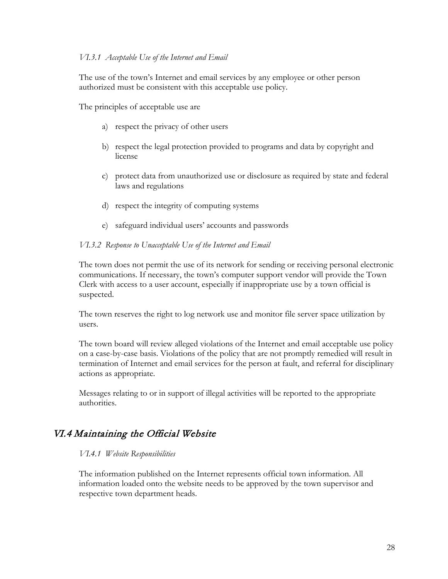#### *VI.3.1 Acceptable Use of the Internet and Email*

The use of the town's Internet and email services by any employee or other person authorized must be consistent with this acceptable use policy.

The principles of acceptable use are

- a) respect the privacy of other users
- b) respect the legal protection provided to programs and data by copyright and license
- c) protect data from unauthorized use or disclosure as required by state and federal laws and regulations
- d) respect the integrity of computing systems
- e) safeguard individual users' accounts and passwords

#### *VI.3.2 Response to Unacceptable Use of the Internet and Email*

The town does not permit the use of its network for sending or receiving personal electronic communications. If necessary, the town's computer support vendor will provide the Town Clerk with access to a user account, especially if inappropriate use by a town official is suspected.

The town reserves the right to log network use and monitor file server space utilization by users.

The town board will review alleged violations of the Internet and email acceptable use policy on a case-by-case basis. Violations of the policy that are not promptly remedied will result in termination of Internet and email services for the person at fault, and referral for disciplinary actions as appropriate.

Messages relating to or in support of illegal activities will be reported to the appropriate authorities.

## <span id="page-27-0"></span>VI.4 Maintaining the Official Website

#### *VI.4.1 Website Responsibilities*

The information published on the Internet represents official town information. All information loaded onto the website needs to be approved by the town supervisor and respective town department heads.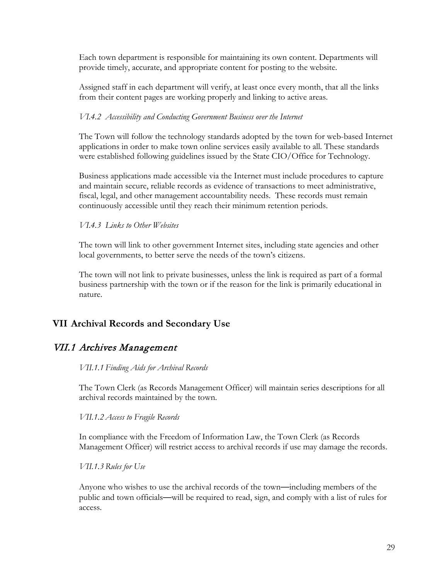Each town department is responsible for maintaining its own content. Departments will provide timely, accurate, and appropriate content for posting to the website.

Assigned staff in each department will verify, at least once every month, that all the links from their content pages are working properly and linking to active areas.

#### *VI.4.2 Accessibility and Conducting Government Business over the Internet*

The Town will follow the technology standards adopted by the town for web-based Internet applications in order to make town online services easily available to all. These standards were established following guidelines issued by the State CIO/Office for Technology.

Business applications made accessible via the Internet must include procedures to capture and maintain secure, reliable records as evidence of transactions to meet administrative, fiscal, legal, and other management accountability needs. These records must remain continuously accessible until they reach their minimum retention periods.

#### *VI.4.3 Links to Other Websites*

The town will link to other government Internet sites, including state agencies and other local governments, to better serve the needs of the town's citizens.

The town will not link to private businesses, unless the link is required as part of a formal business partnership with the town or if the reason for the link is primarily educational in nature.

## <span id="page-28-0"></span>**VII Archival Records and Secondary Use**

## <span id="page-28-1"></span>VII.1 Archives Management

#### *VII.1.1 Finding Aids for Archival Records*

The Town Clerk (as Records Management Officer) will maintain series descriptions for all archival records maintained by the town.

#### *VII.1.2 Access to Fragile Records*

In compliance with the Freedom of Information Law, the Town Clerk (as Records Management Officer) will restrict access to archival records if use may damage the records.

*VII.1.3 Rules for Use*

Anyone who wishes to use the archival records of the town—including members of the public and town officials—will be required to read, sign, and comply with a list of rules for access.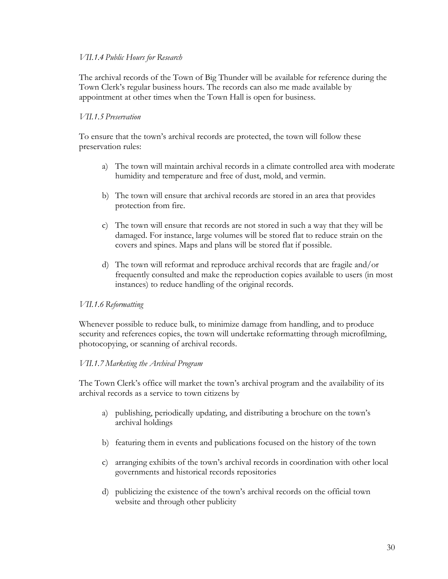#### *VII.1.4 Public Hours for Research*

The archival records of the Town of Big Thunder will be available for reference during the Town Clerk's regular business hours. The records can also me made available by appointment at other times when the Town Hall is open for business.

#### *VII.1.5 Preservation*

To ensure that the town's archival records are protected, the town will follow these preservation rules:

- a) The town will maintain archival records in a climate controlled area with moderate humidity and temperature and free of dust, mold, and vermin.
- b) The town will ensure that archival records are stored in an area that provides protection from fire.
- c) The town will ensure that records are not stored in such a way that they will be damaged. For instance, large volumes will be stored flat to reduce strain on the covers and spines. Maps and plans will be stored flat if possible.
- d) The town will reformat and reproduce archival records that are fragile and/or frequently consulted and make the reproduction copies available to users (in most instances) to reduce handling of the original records.

#### *VII.1.6 Reformatting*

Whenever possible to reduce bulk, to minimize damage from handling, and to produce security and references copies, the town will undertake reformatting through microfilming, photocopying, or scanning of archival records.

#### *VII.1.7 Marketing the Archival Program*

The Town Clerk's office will market the town's archival program and the availability of its archival records as a service to town citizens by

- a) publishing, periodically updating, and distributing a brochure on the town's archival holdings
- b) featuring them in events and publications focused on the history of the town
- c) arranging exhibits of the town's archival records in coordination with other local governments and historical records repositories
- d) publicizing the existence of the town's archival records on the official town website and through other publicity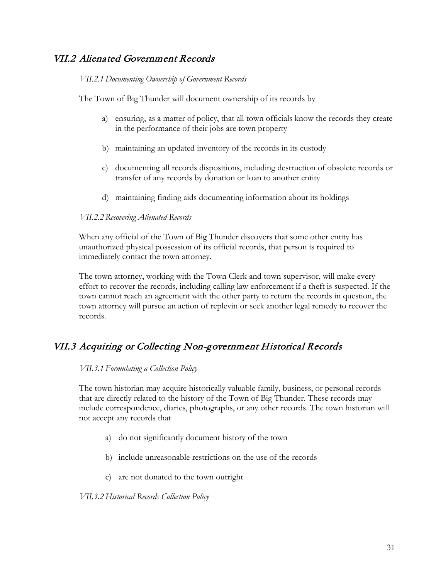## <span id="page-30-0"></span>VII.2 Alienated Government Records

#### *VII.2.1 Documenting Ownership of Government Records*

The Town of Big Thunder will document ownership of its records by

- a) ensuring, as a matter of policy, that all town officials know the records they create in the performance of their jobs are town property
- b) maintaining an updated inventory of the records in its custody
- c) documenting all records dispositions, including destruction of obsolete records or transfer of any records by donation or loan to another entity
- d) maintaining finding aids documenting information about its holdings

#### *VII.2.2 Recovering Alienated Records*

When any official of the Town of Big Thunder discovers that some other entity has unauthorized physical possession of its official records, that person is required to immediately contact the town attorney.

The town attorney, working with the Town Clerk and town supervisor, will make every effort to recover the records, including calling law enforcement if a theft is suspected. If the town cannot reach an agreement with the other party to return the records in question, the town attorney will pursue an action of replevin or seek another legal remedy to recover the records.

# <span id="page-30-1"></span>VII.3 Acquiring or Collecting Non-government Historical Records

#### *VII.3.1 Formulating a Collection Policy*

The town historian may acquire historically valuable family, business, or personal records that are directly related to the history of the Town of Big Thunder. These records may include correspondence, diaries, photographs, or any other records. The town historian will not accept any records that

- a) do not significantly document history of the town
- b) include unreasonable restrictions on the use of the records
- c) are not donated to the town outright

*VII.3.2 Historical Records Collection Policy*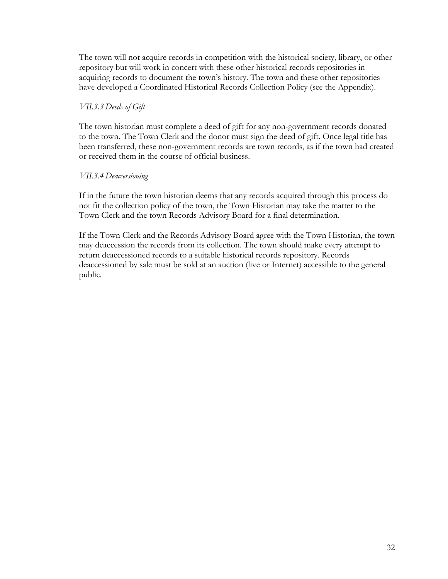The town will not acquire records in competition with the historical society, library, or other repository but will work in concert with these other historical records repositories in acquiring records to document the town's history. The town and these other repositories have developed a Coordinated Historical Records Collection Policy (see the Appendix).

#### *VII.3.3 Deeds of Gift*

The town historian must complete a deed of gift for any non-government records donated to the town. The Town Clerk and the donor must sign the deed of gift. Once legal title has been transferred, these non-government records are town records, as if the town had created or received them in the course of official business.

#### *VII.3.4 Deaccessioning*

If in the future the town historian deems that any records acquired through this process do not fit the collection policy of the town, the Town Historian may take the matter to the Town Clerk and the town Records Advisory Board for a final determination.

If the Town Clerk and the Records Advisory Board agree with the Town Historian, the town may deaccession the records from its collection. The town should make every attempt to return deaccessioned records to a suitable historical records repository. Records deaccessioned by sale must be sold at an auction (live or Internet) accessible to the general public.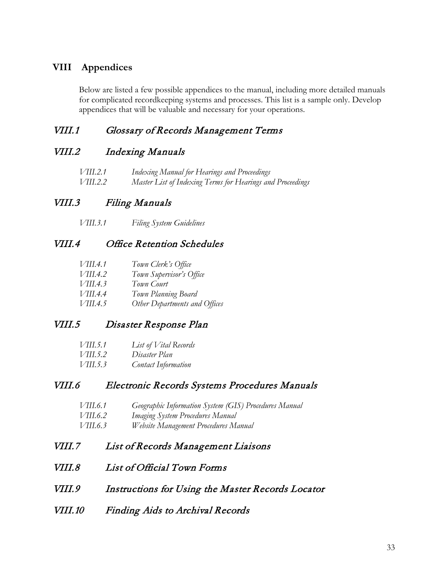## <span id="page-32-0"></span>**VIII Appendices**

Below are listed a few possible appendices to the manual, including more detailed manuals for complicated recordkeeping systems and processes. This list is a sample only. Develop appendices that will be valuable and necessary for your operations.

## <span id="page-32-1"></span>VIII.1 Glossary of Records Management Terms

## <span id="page-32-2"></span>VIII.2 Indexing Manuals

| VIII.2.1        | Indexing Manual for Hearings and Proceedings               |
|-----------------|------------------------------------------------------------|
| <i>VIII.2.2</i> | Master List of Indexing Terms for Hearings and Proceedings |

## <span id="page-32-3"></span>VIII.3 Filing Manuals

*VIII.3.1 Filing System Guidelines*

## <span id="page-32-4"></span>VIII.4 Office Retention Schedules

| VIII.4.1 | Town Clerk's Office           |
|----------|-------------------------------|
| VIII.4.2 | Town Supervisor's Office      |
| VIII.4.3 | Town Court                    |
| VIII.4.4 | Town Planning Board           |
| VIII.4.5 | Other Departments and Offices |
|          |                               |

## <span id="page-32-5"></span>VIII.5 Disaster Response Plan

| <i>VIII.5.1</i> | List of Vital Records      |
|-----------------|----------------------------|
| VIII.5.2        | Disaster Plan              |
| VIII.5.3        | <b>Contact Information</b> |

## <span id="page-32-6"></span>VIII.6 Electronic Records Systems Procedures Manuals

| VIII.6.1        | Geographic Information System (GIS) Procedures Manual |
|-----------------|-------------------------------------------------------|
| <i>VIII.6.2</i> | <i>Imaging System Procedures Manual</i>               |
| VIII.6.3        | Website Management Procedures Manual                  |

- <span id="page-32-7"></span>VIII.7 List of Records Management Liaisons
- <span id="page-32-8"></span>VIII.8 List of Official Town Forms
- <span id="page-32-9"></span>VIII.9 Instructions for Using the Master Records Locator
- <span id="page-32-10"></span>VIII.10 Finding Aids to Archival Records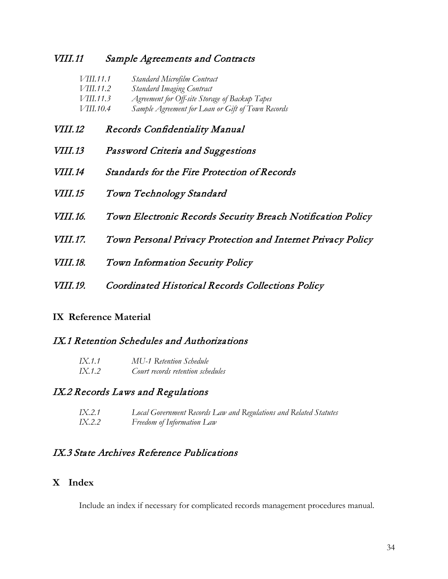## <span id="page-33-0"></span>VIII.11 Sample Agreements and Contracts

|                | <i>VIII.11.1</i> | Standard Microfilm Contract                       |
|----------------|------------------|---------------------------------------------------|
|                | <i>VIII.11.2</i> | <b>Standard Imaging Contract</b>                  |
|                | <i>VIII.11.3</i> | Agreement for Off-site Storage of Backup Tapes    |
|                | VIII.10.4        | Sample Agreement for Loan or Gift of Town Records |
| <i>VIII.12</i> |                  | Records Confidentiality Manual                    |
| <i>VIII.13</i> |                  | Password Criteria and Suggestions                 |

- <span id="page-33-3"></span><span id="page-33-2"></span><span id="page-33-1"></span>VIII.14 Standards for the Fire Protection of Records
- VIII.15 Town Technology Standard
- VIII.16. Town Electronic Records Security Breach Notification Policy
- VIII.17. Town Personal Privacy Protection and Internet Privacy Policy
- VIII.18. Town Information Security Policy
- VIII.19. Coordinated Historical Records Collections Policy

## <span id="page-33-4"></span>**IX Reference Material**

## <span id="page-33-5"></span>IX.1 Retention Schedules and Authorizations

| <i>IX.1.1</i> | <b>MU-1 Retention Schedule</b>    |
|---------------|-----------------------------------|
| <i>IX.1.2</i> | Court records retention schedules |

## <span id="page-33-6"></span>IX.2 Records Laws and Regulations

| IX.2.1 | Local Government Records Law and Regulations and Related Statutes |
|--------|-------------------------------------------------------------------|
| IX.2.2 | Freedom of Information Law                                        |

## <span id="page-33-7"></span>IX.3 State Archives Reference Publications

## <span id="page-33-8"></span>**X Index**

Include an index if necessary for complicated records management procedures manual.